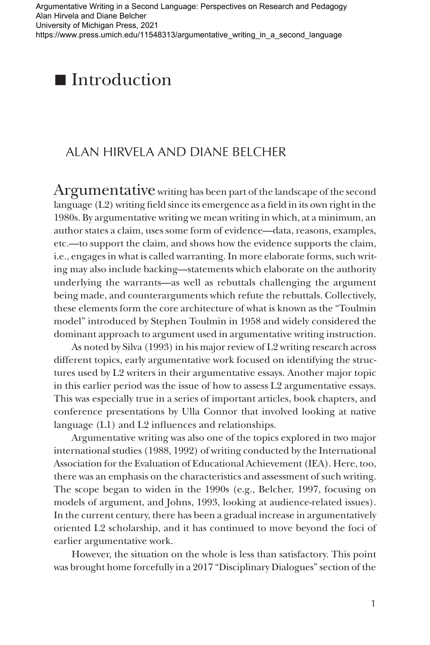Argumentative Writing in a Second Language: Perspectives on Research and Pedagogy Alan Hirvela and Diane Belcher University of Michigan Press, 2021 [https://www.press.umich.edu/11548313/argumentative\\_writing\\_in\\_a\\_second\\_language](https://www.press.umich.edu/11548313/argumentative_writing_in_a_second_language)



### ALAN HIRVELA AND DIANE BELCHER

Argumentative writing has been part of the landscape of the second language (L2) writing field since its emergence as a field in its own right in the 1980s. By argumentative writing we mean writing in which, at a minimum, an author states a claim, uses some form of evidence—data, reasons, examples, etc.—to support the claim, and shows how the evidence supports the claim, i.e., engages in what is called warranting. In more elaborate forms, such writing may also include backing—statements which elaborate on the authority underlying the warrants—as well as rebuttals challenging the argument being made, and counterarguments which refute the rebuttals. Collectively, these elements form the core architecture of what is known as the "Toulmin model" introduced by Stephen Toulmin in 1958 and widely considered the dominant approach to argument used in argumentative writing instruction.

As noted by Silva (1993) in his major review of L2 writing research across different topics, early argumentative work focused on identifying the structures used by L2 writers in their argumentative essays. Another major topic in this earlier period was the issue of how to assess L2 argumentative essays. This was especially true in a series of important articles, book chapters, and conference presentations by Ulla Connor that involved looking at native language (L1) and L2 influences and relationships.

Argumentative writing was also one of the topics explored in two major international studies (1988, 1992) of writing conducted by the International Association for the Evaluation of Educational Achievement (IEA). Here, too, there was an emphasis on the characteristics and assessment of such writing. The scope began to widen in the 1990s (e.g., Belcher, 1997, focusing on models of argument, and Johns, 1993, looking at audience-related issues). In the current century, there has been a gradual increase in argumentatively oriented L2 scholarship, and it has continued to move beyond the foci of earlier argumentative work.

However, the situation on the whole is less than satisfactory. This point was brought home forcefully in a 2017 "Disciplinary Dialogues" section of the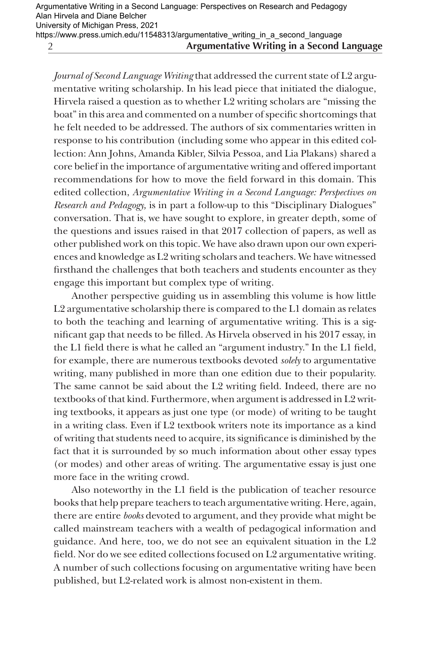https://www.press.umich.edu/11548313/argumentative\_writing\_in\_a\_second\_language

2

**Argumentative Writing in a Second Language**

*Journal of Second Language Writing* that addressed the current state of L2 argumentative writing scholarship. In his lead piece that initiated the dialogue, Hirvela raised a question as to whether L2 writing scholars are "missing the boat" in this area and commented on a number of specific shortcomings that he felt needed to be addressed. The authors of six commentaries written in response to his contribution (including some who appear in this edited collection: Ann Johns, Amanda Kibler, Silvia Pessoa, and Lia Plakans) shared a core belief in the importance of argumentative writing and offered important recommendations for how to move the field forward in this domain. This edited collection, *Argumentative Writing in a Second Language: Perspectives on Research and Pedagogy,* is in part a follow-up to this "Disciplinary Dialogues" conversation. That is, we have sought to explore, in greater depth, some of the questions and issues raised in that 2017 collection of papers, as well as other published work on this topic. We have also drawn upon our own experiences and knowledge as L2 writing scholars and teachers. We have witnessed firsthand the challenges that both teachers and students encounter as they engage this important but complex type of writing.

Another perspective guiding us in assembling this volume is how little L2 argumentative scholarship there is compared to the L1 domain as relates to both the teaching and learning of argumentative writing. This is a significant gap that needs to be filled. As Hirvela observed in his 2017 essay, in the L1 field there is what he called an "argument industry." In the L1 field, for example, there are numerous textbooks devoted *solely* to argumentative writing, many published in more than one edition due to their popularity. The same cannot be said about the L2 writing field. Indeed, there are no textbooks of that kind. Furthermore, when argument is addressed in L2 writing textbooks, it appears as just one type (or mode) of writing to be taught in a writing class. Even if L2 textbook writers note its importance as a kind of writing that students need to acquire, its significance is diminished by the fact that it is surrounded by so much information about other essay types (or modes) and other areas of writing. The argumentative essay is just one more face in the writing crowd.

Also noteworthy in the L1 field is the publication of teacher resource books that help prepare teachers to teach argumentative writing. Here, again, there are entire *books* devoted to argument, and they provide what might be called mainstream teachers with a wealth of pedagogical information and guidance. And here, too, we do not see an equivalent situation in the L2 field. Nor do we see edited collections focused on L2 argumentative writing. A number of such collections focusing on argumentative writing have been published, but L2-related work is almost non-existent in them.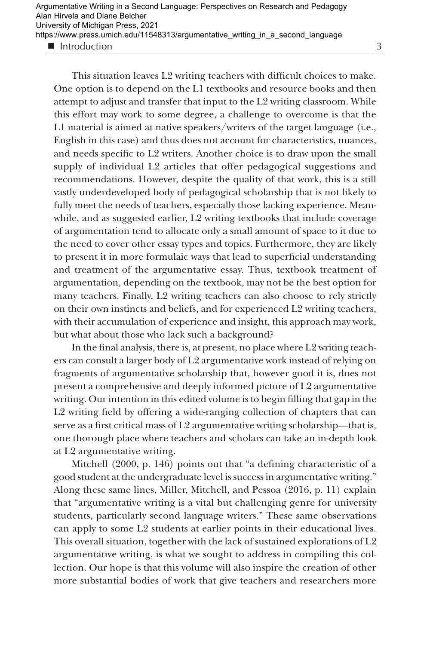Introduction

3

This situation leaves L2 writing teachers with difficult choices to make. One option is to depend on the L1 textbooks and resource books and then attempt to adjust and transfer that input to the L2 writing classroom. While this effort may work to some degree, a challenge to overcome is that the L1 material is aimed at native speakers/writers of the target language (i.e., English in this case) and thus does not account for characteristics, nuances, and needs specific to L2 writers. Another choice is to draw upon the small supply of individual L2 articles that offer pedagogical suggestions and recommendations. However, despite the quality of that work, this is a still vastly underdeveloped body of pedagogical scholarship that is not likely to fully meet the needs of teachers, especially those lacking experience. Meanwhile, and as suggested earlier, L2 writing textbooks that include coverage of argumentation tend to allocate only a small amount of space to it due to the need to cover other essay types and topics. Furthermore, they are likely to present it in more formulaic ways that lead to superficial understanding and treatment of the argumentative essay. Thus, textbook treatment of argumentation, depending on the textbook, may not be the best option for many teachers. Finally, L2 writing teachers can also choose to rely strictly on their own instincts and beliefs, and for experienced L2 writing teachers, with their accumulation of experience and insight, this approach may work, but what about those who lack such a background?

In the final analysis, there is, at present, no place where L2 writing teachers can consult a larger body of L2 argumentative work instead of relying on fragments of argumentative scholarship that, however good it is, does not present a comprehensive and deeply informed picture of L2 argumentative writing. Our intention in this edited volume is to begin filling that gap in the L2 writing field by offering a wide-ranging collection of chapters that can serve as a first critical mass of L2 argumentative writing scholarship—that is, one thorough place where teachers and scholars can take an in-depth look at L2 argumentative writing.

Mitchell (2000, p. 146) points out that "a defining characteristic of a good student at the undergraduate level is success in argumentative writing." Along these same lines, Miller, Mitchell, and Pessoa (2016, p. 11) explain that "argumentative writing is a vital but challenging genre for university students, particularly second language writers." These same observations can apply to some L2 students at earlier points in their educational lives. This overall situation, together with the lack of sustained explorations of L2 argumentative writing, is what we sought to address in compiling this collection. Our hope is that this volume will also inspire the creation of other more substantial bodies of work that give teachers and researchers more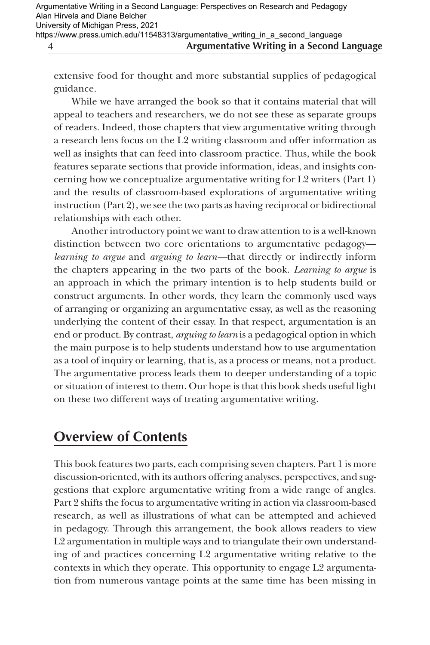extensive food for thought and more substantial supplies of pedagogical guidance.

While we have arranged the book so that it contains material that will appeal to teachers and researchers, we do not see these as separate groups of readers. Indeed, those chapters that view argumentative writing through a research lens focus on the L2 writing classroom and offer information as well as insights that can feed into classroom practice. Thus, while the book features separate sections that provide information, ideas, and insights concerning how we conceptualize argumentative writing for L2 writers (Part 1) and the results of classroom-based explorations of argumentative writing instruction (Part 2), we see the two parts as having reciprocal or bidirectional relationships with each other.

Another introductory point we want to draw attention to is a well-known distinction between two core orientations to argumentative pedagogy *learning to argue* and *arguing to learn—*that directly or indirectly inform the chapters appearing in the two parts of the book. *Learning to argue* is an approach in which the primary intention is to help students build or construct arguments. In other words, they learn the commonly used ways of arranging or organizing an argumentative essay, as well as the reasoning underlying the content of their essay. In that respect, argumentation is an end or product. By contrast, *arguing to learn* is a pedagogical option in which the main purpose is to help students understand how to use argumentation as a tool of inquiry or learning, that is, as a process or means, not a product. The argumentative process leads them to deeper understanding of a topic or situation of interest to them. Our hope is that this book sheds useful light on these two different ways of treating argumentative writing.

## **Overview of Contents**

This book features two parts, each comprising seven chapters. Part 1 is more discussion-oriented, with its authors offering analyses, perspectives, and suggestions that explore argumentative writing from a wide range of angles. Part 2 shifts the focus to argumentative writing in action via classroom-based research, as well as illustrations of what can be attempted and achieved in pedagogy. Through this arrangement, the book allows readers to view L2 argumentation in multiple ways and to triangulate their own understanding of and practices concerning L2 argumentative writing relative to the contexts in which they operate. This opportunity to engage L2 argumentation from numerous vantage points at the same time has been missing in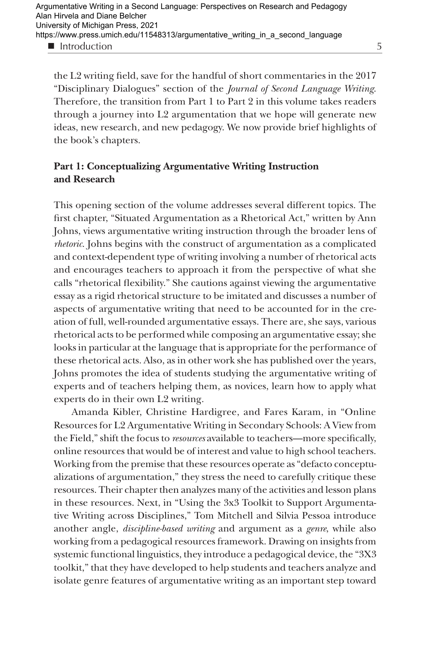5

the L2 writing field, save for the handful of short commentaries in the 2017 "Disciplinary Dialogues" section of the *Journal of Second Language Writing*. Therefore, the transition from Part 1 to Part 2 in this volume takes readers through a journey into L2 argumentation that we hope will generate new ideas, new research, and new pedagogy. We now provide brief highlights of the book's chapters.

#### **Part 1: Conceptualizing Argumentative Writing Instruction and Research**

This opening section of the volume addresses several different topics. The first chapter, "Situated Argumentation as a Rhetorical Act," written by Ann Johns, views argumentative writing instruction through the broader lens of *rhetoric*. Johns begins with the construct of argumentation as a complicated and context-dependent type of writing involving a number of rhetorical acts and encourages teachers to approach it from the perspective of what she calls "rhetorical flexibility." She cautions against viewing the argumentative essay as a rigid rhetorical structure to be imitated and discusses a number of aspects of argumentative writing that need to be accounted for in the creation of full, well-rounded argumentative essays. There are, she says, various rhetorical acts to be performed while composing an argumentative essay; she looks in particular at the language that is appropriate for the performance of these rhetorical acts. Also, as in other work she has published over the years, Johns promotes the idea of students studying the argumentative writing of experts and of teachers helping them, as novices, learn how to apply what experts do in their own L2 writing.

Amanda Kibler, Christine Hardigree, and Fares Karam, in "Online Resources for L2 Argumentative Writing in Secondary Schools: A View from the Field," shift the focus to *resources* available to teachers—more specifically, online resources that would be of interest and value to high school teachers. Working from the premise that these resources operate as "defacto conceptualizations of argumentation," they stress the need to carefully critique these resources. Their chapter then analyzes many of the activities and lesson plans in these resources. Next, in "Using the 3x3 Toolkit to Support Argumentative Writing across Disciplines," Tom Mitchell and Silvia Pessoa introduce another angle, *discipline-based writing* and argument as a *genre*, while also working from a pedagogical resources framework. Drawing on insights from systemic functional linguistics, they introduce a pedagogical device, the "3X3 toolkit," that they have developed to help students and teachers analyze and isolate genre features of argumentative writing as an important step toward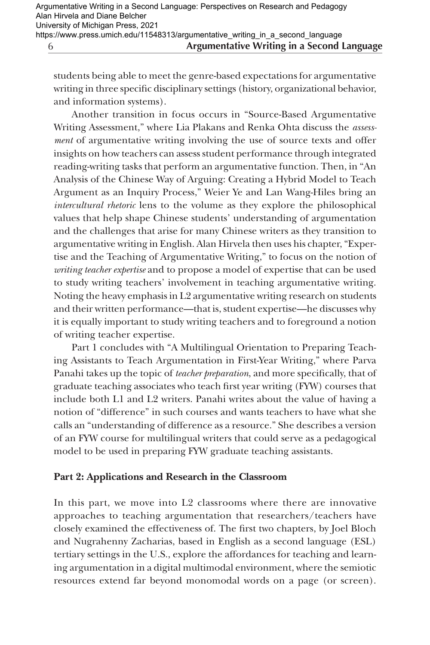students being able to meet the genre-based expectations for argumentative writing in three specific disciplinary settings (history, organizational behavior, and information systems).

Another transition in focus occurs in "Source-Based Argumentative Writing Assessment," where Lia Plakans and Renka Ohta discuss the *assessment* of argumentative writing involving the use of source texts and offer insights on how teachers can assess student performance through integrated reading-writing tasks that perform an argumentative function. Then, in "An Analysis of the Chinese Way of Arguing: Creating a Hybrid Model to Teach Argument as an Inquiry Process," Weier Ye and Lan Wang-Hiles bring an *intercultural rhetoric* lens to the volume as they explore the philosophical values that help shape Chinese students' understanding of argumentation and the challenges that arise for many Chinese writers as they transition to argumentative writing in English. Alan Hirvela then uses his chapter, "Expertise and the Teaching of Argumentative Writing," to focus on the notion of *writing teacher expertise* and to propose a model of expertise that can be used to study writing teachers' involvement in teaching argumentative writing. Noting the heavy emphasis in L2 argumentative writing research on students and their written performance—that is, student expertise—he discusses why it is equally important to study writing teachers and to foreground a notion of writing teacher expertise.

Part 1 concludes with "A Multilingual Orientation to Preparing Teaching Assistants to Teach Argumentation in First-Year Writing," where Parva Panahi takes up the topic of *teacher preparation*, and more specifically, that of graduate teaching associates who teach first year writing (FYW) courses that include both L1 and L2 writers. Panahi writes about the value of having a notion of "difference" in such courses and wants teachers to have what she calls an "understanding of difference as a resource." She describes a version of an FYW course for multilingual writers that could serve as a pedagogical model to be used in preparing FYW graduate teaching assistants.

#### **Part 2: Applications and Research in the Classroom**

In this part, we move into L2 classrooms where there are innovative approaches to teaching argumentation that researchers/teachers have closely examined the effectiveness of. The first two chapters, by Joel Bloch and Nugrahenny Zacharias, based in English as a second language (ESL) tertiary settings in the U.S., explore the affordances for teaching and learning argumentation in a digital multimodal environment, where the semiotic resources extend far beyond monomodal words on a page (or screen).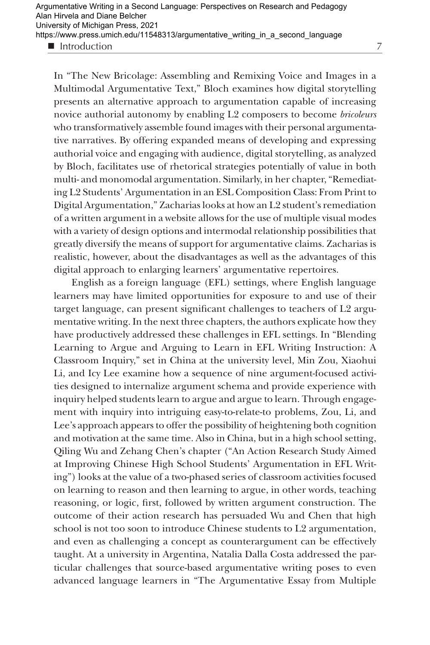Introduction

In "The New Bricolage: Assembling and Remixing Voice and Images in a Multimodal Argumentative Text," Bloch examines how digital storytelling presents an alternative approach to argumentation capable of increasing novice authorial autonomy by enabling L2 composers to become *bricoleurs* who transformatively assemble found images with their personal argumentative narratives. By offering expanded means of developing and expressing authorial voice and engaging with audience, digital storytelling, as analyzed by Bloch, facilitates use of rhetorical strategies potentially of value in both multi- and monomodal argumentation. Similarly, in her chapter, "Remediating L2 Students' Argumentation in an ESL Composition Class: From Print to Digital Argumentation," Zacharias looks at how an L2 student's remediation of a written argument in a website allows for the use of multiple visual modes with a variety of design options and intermodal relationship possibilities that greatly diversify the means of support for argumentative claims. Zacharias is realistic, however, about the disadvantages as well as the advantages of this digital approach to enlarging learners' argumentative repertoires.

English as a foreign language (EFL) settings, where English language learners may have limited opportunities for exposure to and use of their target language, can present significant challenges to teachers of L2 argumentative writing. In the next three chapters, the authors explicate how they have productively addressed these challenges in EFL settings. In "Blending Learning to Argue and Arguing to Learn in EFL Writing Instruction: A Classroom Inquiry," set in China at the university level, Min Zou, Xiaohui Li, and Icy Lee examine how a sequence of nine argument-focused activities designed to internalize argument schema and provide experience with inquiry helped students learn to argue and argue to learn. Through engagement with inquiry into intriguing easy-to-relate-to problems, Zou, Li, and Lee's approach appears to offer the possibility of heightening both cognition and motivation at the same time. Also in China, but in a high school setting, Qiling Wu and Zehang Chen's chapter ("An Action Research Study Aimed at Improving Chinese High School Students' Argumentation in EFL Writing") looks at the value of a two-phased series of classroom activities focused on learning to reason and then learning to argue, in other words, teaching reasoning, or logic, first, followed by written argument construction. The outcome of their action research has persuaded Wu and Chen that high school is not too soon to introduce Chinese students to L2 argumentation, and even as challenging a concept as counterargument can be effectively taught. At a university in Argentina, Natalia Dalla Costa addressed the particular challenges that source-based argumentative writing poses to even advanced language learners in "The Argumentative Essay from Multiple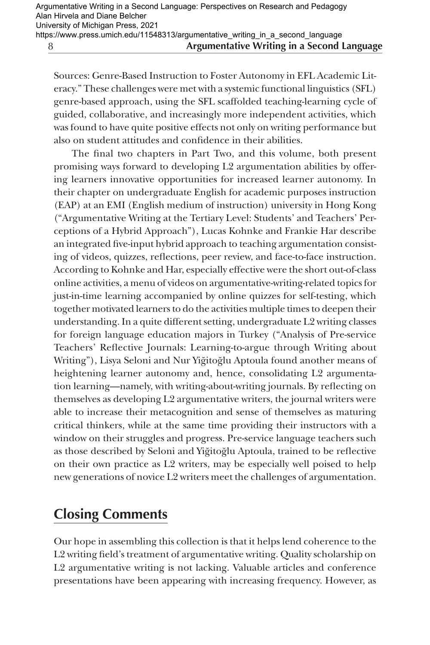Sources: Genre-Based Instruction to Foster Autonomy in EFL Academic Literacy." These challenges were met with a systemic functional linguistics (SFL) genre-based approach, using the SFL scaffolded teaching-learning cycle of guided, collaborative, and increasingly more independent activities, which was found to have quite positive effects not only on writing performance but also on student attitudes and confidence in their abilities.

The final two chapters in Part Two, and this volume, both present promising ways forward to developing L2 argumentation abilities by offering learners innovative opportunities for increased learner autonomy. In their chapter on undergraduate English for academic purposes instruction (EAP) at an EMI (English medium of instruction) university in Hong Kong ("Argumentative Writing at the Tertiary Level: Students' and Teachers' Perceptions of a Hybrid Approach"), Lucas Kohnke and Frankie Har describe an integrated five-input hybrid approach to teaching argumentation consisting of videos, quizzes, reflections, peer review, and face-to-face instruction. According to Kohnke and Har, especially effective were the short out-of-class online activities, a menu of videos on argumentative-writing-related topics for just-in-time learning accompanied by online quizzes for self-testing, which together motivated learners to do the activities multiple times to deepen their understanding. In a quite different setting, undergraduate L2 writing classes for foreign language education majors in Turkey ("Analysis of Pre-service Teachers' Reflective Journals: Learning-to-argue through Writing about Writing"), Lisya Seloni and Nur Yiğitoğlu Aptoula found another means of heightening learner autonomy and, hence, consolidating L2 argumentation learning—namely, with writing-about-writing journals. By reflecting on themselves as developing L2 argumentative writers, the journal writers were able to increase their metacognition and sense of themselves as maturing critical thinkers, while at the same time providing their instructors with a window on their struggles and progress. Pre-service language teachers such as those described by Seloni and Yig˘itog˘lu Aptoula, trained to be reflective on their own practice as L2 writers, may be especially well poised to help new generations of novice L2 writers meet the challenges of argumentation.

# **Closing Comments**

Our hope in assembling this collection is that it helps lend coherence to the L2 writing field's treatment of argumentative writing. Quality scholarship on L2 argumentative writing is not lacking. Valuable articles and conference presentations have been appearing with increasing frequency. However, as